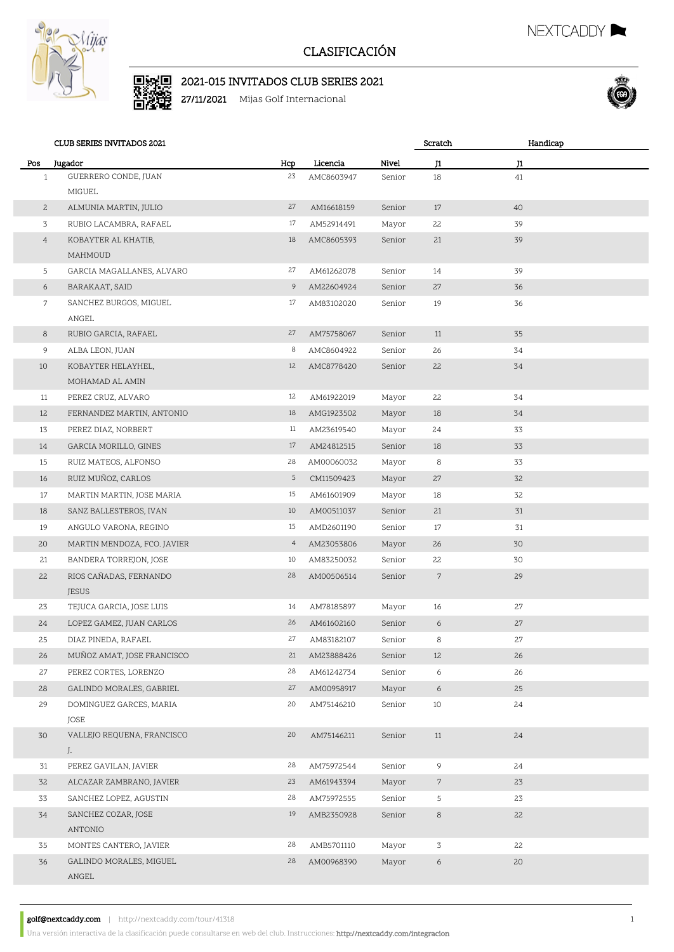

## CLASIFICACIÓN

## ■<br>■数<br>■数 2021-015 INVITADOS CLUB SERIES 2021

27/11/2021 Mijas Golf Internacional



NEXTCADDY

|                | <b>CLUB SERIES INVITADOS 2021</b> |                |            |        | Scratch         | Handicap |  |
|----------------|-----------------------------------|----------------|------------|--------|-----------------|----------|--|
| Pos            | Jugador                           | Hcp            | Licencia   | Nivel  | J1              | J1       |  |
| $\mathbf{1}$   | GUERRERO CONDE, JUAN              | 23             | AMC8603947 | Senior | 18              | 41       |  |
|                | MIGUEL                            |                |            |        |                 |          |  |
| $\mathbf{2}$   | ALMUNIA MARTIN, JULIO             | 27             | AM16618159 | Senior | 17              | 40       |  |
| $\overline{3}$ | RUBIO LACAMBRA, RAFAEL            | 17             | AM52914491 | Mayor  | 22              | 39       |  |
| $\overline{4}$ | KOBAYTER AL KHATIB,               | 18             | AMC8605393 | Senior | 21              | 39       |  |
|                | MAHMOUD                           |                |            |        |                 |          |  |
| 5              | GARCIA MAGALLANES, ALVARO         | 27             | AM61262078 | Senior | 14              | 39       |  |
| 6              | BARAKAAT, SAID                    | 9              | AM22604924 | Senior | 27              | 36       |  |
| 7              | SANCHEZ BURGOS, MIGUEL            | 17             | AM83102020 | Senior | 19              | 36       |  |
|                | ANGEL                             |                |            |        |                 |          |  |
| 8              | RUBIO GARCIA, RAFAEL              | 27             | AM75758067 | Senior | 11              | 35       |  |
| 9              | ALBA LEON, JUAN                   | 8              | AMC8604922 | Senior | 26              | 34       |  |
| 10             | KOBAYTER HELAYHEL,                | 12             | AMC8778420 | Senior | 22              | 34       |  |
|                | MOHAMAD AL AMIN                   |                |            |        |                 |          |  |
| 11             | PEREZ CRUZ, ALVARO                | 12             | AM61922019 | Mayor  | 22              | 34       |  |
| 12             | FERNANDEZ MARTIN, ANTONIO         | 18             | AMG1923502 | Mayor  | 18              | 34       |  |
| 13             | PEREZ DIAZ, NORBERT               | 11             | AM23619540 | Mayor  | 24              | 33       |  |
| 14             | GARCIA MORILLO, GINES             | 17             | AM24812515 | Senior | 18              | 33       |  |
| 15             | RUIZ MATEOS, ALFONSO              | 28             | AM00060032 | Mayor  | 8               | 33       |  |
| 16             | RUIZ MUÑOZ, CARLOS                | 5              | CM11509423 | Mayor  | 27              | 32       |  |
| 17             | MARTIN MARTIN, JOSE MARIA         | 15             | AM61601909 | Mayor  | 18              | 32       |  |
| 18             | SANZ BALLESTEROS, IVAN            | 10             | AM00511037 | Senior | 21              | 31       |  |
| 19             | ANGULO VARONA, REGINO             | 15             | AMD2601190 | Senior | 17              | 31       |  |
| 20             | MARTIN MENDOZA, FCO. JAVIER       | $\overline{4}$ | AM23053806 | Mayor  | 26              | 30       |  |
| 21             | BANDERA TORREJON, JOSE            | 10             | AM83250032 | Senior | 22              | 30       |  |
| 22             | RIOS CAÑADAS, FERNANDO            | 28             | AM00506514 | Senior | $7\phantom{.0}$ | 29       |  |
|                | <b>JESUS</b>                      |                |            |        |                 |          |  |
| 23             | TEJUCA GARCIA, JOSE LUIS          | 14             | AM78185897 | Mayor  | 16              | 27       |  |
| 24             | LOPEZ GAMEZ, JUAN CARLOS          | 26             | AM61602160 | Senior | 6               | $27\,$   |  |
| 25             | DIAZ PINEDA, RAFAEL               | 27             | AM83182107 | Senior | 8               | 27       |  |
| 26             | MUÑOZ AMAT, JOSE FRANCISCO        | 21             | AM23888426 | Senior | 12              | 26       |  |
| 27             | PEREZ CORTES, LORENZO             | 28             | AM61242734 | Senior | 6               | 26       |  |
| 28             | GALINDO MORALES, GABRIEL          | 27             | AM00958917 | Mayor  | 6               | 25       |  |
| 29             | DOMINGUEZ GARCES, MARIA           | 20             | AM75146210 | Senior | 10              | 24       |  |
|                | JOSE                              |                |            |        |                 |          |  |
| 30             | VALLEJO REQUENA, FRANCISCO        | 20             | AM75146211 | Senior | 11              | 24       |  |
|                | J.<br>PEREZ GAVILAN, JAVIER       | 28             |            |        |                 |          |  |
| 31             |                                   |                | AM75972544 | Senior | 9               | 24       |  |
| 32             | ALCAZAR ZAMBRANO, JAVIER          | 23             | AM61943394 | Mayor  | $7\phantom{.}$  | 23       |  |
| 33             | SANCHEZ LOPEZ, AGUSTIN            | 28             | AM75972555 | Senior | 5               | 23       |  |
| 34             | SANCHEZ COZAR, JOSE<br>ANTONIO    | 19             | AMB2350928 | Senior | 8               | 22       |  |
| 35             | MONTES CANTERO, JAVIER            | 28             | AMB5701110 | Mayor  | 3               | 22       |  |
| 36             | GALINDO MORALES, MIGUEL           | 28             | AM00968390 | Mayor  | 6               | 20       |  |
|                | ANGEL                             |                |            |        |                 |          |  |
|                |                                   |                |            |        |                 |          |  |

golf@nextcaddy.com | http://nextcaddy.com/tour/41318 1

Una versión interactiva de la clasificación puede consultarse en web del club. Instrucciones: http://nextcaddy.com/integracion